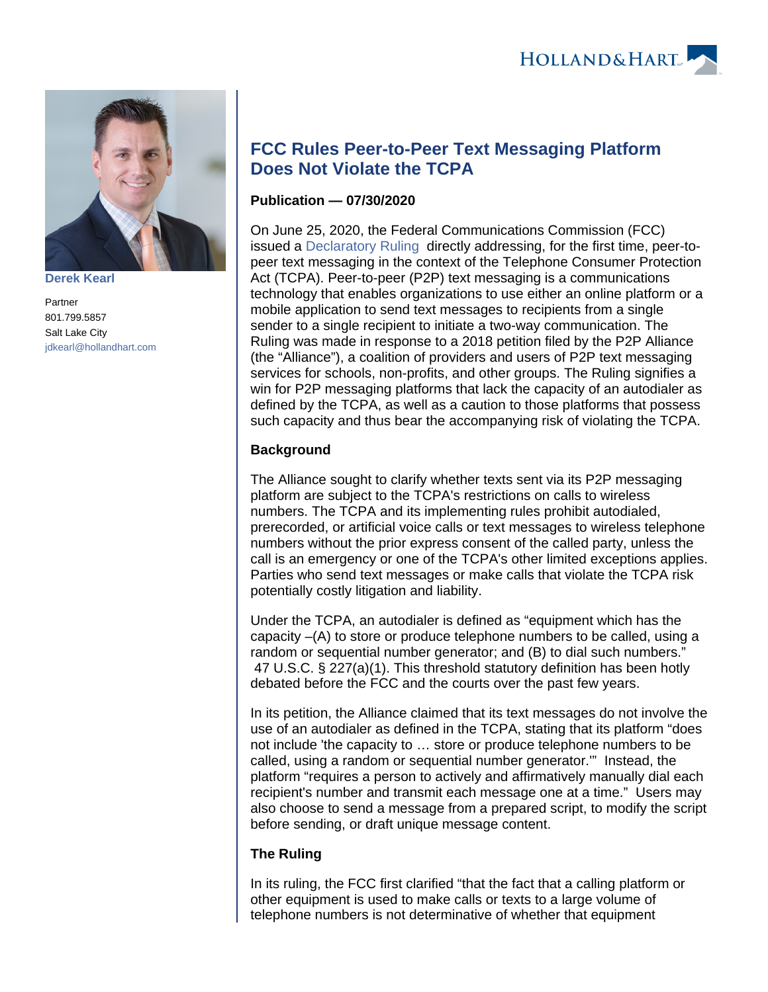

**[Derek Kearl](https://www.hollandhart.com/15748)**

Partner 801.799.5857 Salt Lake City [jdkearl@hollandhart.com](mailto:jdkearl@hollandhart.com)

# **FCC Rules Peer-to-Peer Text Messaging Platform Does Not Violate the TCPA**

#### **Publication — 07/30/2020**

On June 25, 2020, the Federal Communications Commission (FCC) issued a [Declaratory Ruling](https://docs.fcc.gov/public/attachments/DA-20-670A1.pdf) directly addressing, for the first time, peer-topeer text messaging in the context of the Telephone Consumer Protection Act (TCPA). Peer-to-peer (P2P) text messaging is a communications technology that enables organizations to use either an online platform or a mobile application to send text messages to recipients from a single sender to a single recipient to initiate a two-way communication. The Ruling was made in response to a 2018 petition filed by the P2P Alliance (the "Alliance"), a coalition of providers and users of P2P text messaging services for schools, non-profits, and other groups. The Ruling signifies a win for P2P messaging platforms that lack the capacity of an autodialer as defined by the TCPA, as well as a caution to those platforms that possess such capacity and thus bear the accompanying risk of violating the TCPA.

## **Background**

The Alliance sought to clarify whether texts sent via its P2P messaging platform are subject to the TCPA's restrictions on calls to wireless numbers. The TCPA and its implementing rules prohibit autodialed, prerecorded, or artificial voice calls or text messages to wireless telephone numbers without the prior express consent of the called party, unless the call is an emergency or one of the TCPA's other limited exceptions applies. Parties who send text messages or make calls that violate the TCPA risk potentially costly litigation and liability.

Under the TCPA, an autodialer is defined as "equipment which has the capacity –(A) to store or produce telephone numbers to be called, using a random or sequential number generator; and (B) to dial such numbers." 47 U.S.C. § 227(a)(1). This threshold statutory definition has been hotly debated before the FCC and the courts over the past few years.

In its petition, the Alliance claimed that its text messages do not involve the use of an autodialer as defined in the TCPA, stating that its platform "does not include 'the capacity to … store or produce telephone numbers to be called, using a random or sequential number generator.'" Instead, the platform "requires a person to actively and affirmatively manually dial each recipient's number and transmit each message one at a time." Users may also choose to send a message from a prepared script, to modify the script before sending, or draft unique message content.

## **The Ruling**

In its ruling, the FCC first clarified "that the fact that a calling platform or other equipment is used to make calls or texts to a large volume of telephone numbers is not determinative of whether that equipment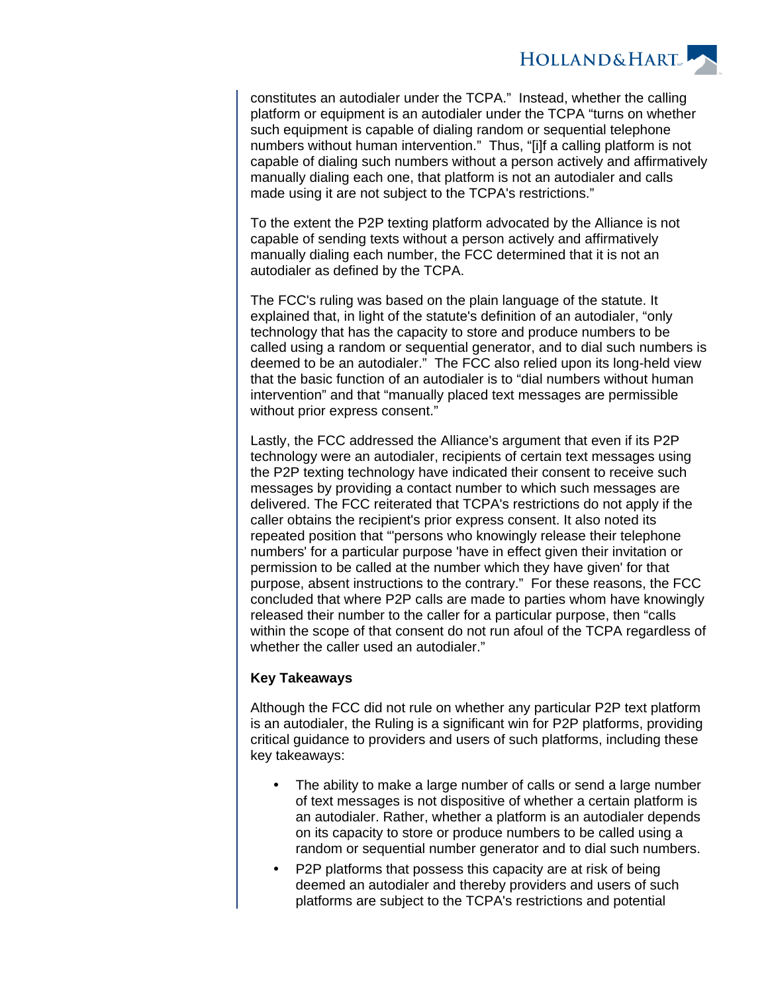

constitutes an autodialer under the TCPA." Instead, whether the calling platform or equipment is an autodialer under the TCPA "turns on whether such equipment is capable of dialing random or sequential telephone numbers without human intervention." Thus, "[i]f a calling platform is not capable of dialing such numbers without a person actively and affirmatively manually dialing each one, that platform is not an autodialer and calls made using it are not subject to the TCPA's restrictions."

To the extent the P2P texting platform advocated by the Alliance is not capable of sending texts without a person actively and affirmatively manually dialing each number, the FCC determined that it is not an autodialer as defined by the TCPA.

The FCC's ruling was based on the plain language of the statute. It explained that, in light of the statute's definition of an autodialer, "only technology that has the capacity to store and produce numbers to be called using a random or sequential generator, and to dial such numbers is deemed to be an autodialer." The FCC also relied upon its long-held view that the basic function of an autodialer is to "dial numbers without human intervention" and that "manually placed text messages are permissible without prior express consent."

Lastly, the FCC addressed the Alliance's argument that even if its P2P technology were an autodialer, recipients of certain text messages using the P2P texting technology have indicated their consent to receive such messages by providing a contact number to which such messages are delivered. The FCC reiterated that TCPA's restrictions do not apply if the caller obtains the recipient's prior express consent. It also noted its repeated position that "'persons who knowingly release their telephone numbers' for a particular purpose 'have in effect given their invitation or permission to be called at the number which they have given' for that purpose, absent instructions to the contrary." For these reasons, the FCC concluded that where P2P calls are made to parties whom have knowingly released their number to the caller for a particular purpose, then "calls within the scope of that consent do not run afoul of the TCPA regardless of whether the caller used an autodialer."

#### **Key Takeaways**

Although the FCC did not rule on whether any particular P2P text platform is an autodialer, the Ruling is a significant win for P2P platforms, providing critical guidance to providers and users of such platforms, including these key takeaways:

- The ability to make a large number of calls or send a large number of text messages is not dispositive of whether a certain platform is an autodialer. Rather, whether a platform is an autodialer depends on its capacity to store or produce numbers to be called using a random or sequential number generator and to dial such numbers.
- P2P platforms that possess this capacity are at risk of being deemed an autodialer and thereby providers and users of such platforms are subject to the TCPA's restrictions and potential